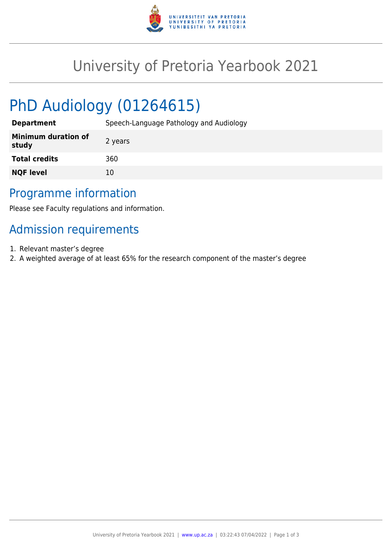

# University of Pretoria Yearbook 2021

# PhD Audiology (01264615)

| <b>Department</b>                   | Speech-Language Pathology and Audiology |
|-------------------------------------|-----------------------------------------|
| <b>Minimum duration of</b><br>study | 2 years                                 |
| <b>Total credits</b>                | 360                                     |
| <b>NQF level</b>                    | 10                                      |

### Programme information

Please see Faculty regulations and information.

## Admission requirements

- 1. Relevant master's degree
- 2. A weighted average of at least 65% for the research component of the master's degree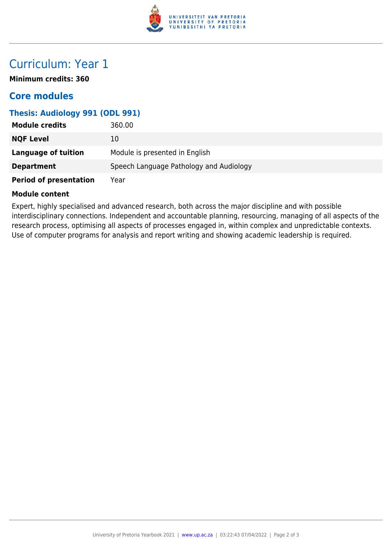

## Curriculum: Year 1

**Minimum credits: 360**

### **Core modules**

#### **Thesis: Audiology 991 (ODL 991)**

| <b>Module credits</b>         | 360.00                                  |
|-------------------------------|-----------------------------------------|
| <b>NQF Level</b>              | 10                                      |
| <b>Language of tuition</b>    | Module is presented in English          |
| <b>Department</b>             | Speech Language Pathology and Audiology |
| <b>Period of presentation</b> | Year                                    |

#### **Module content**

Expert, highly specialised and advanced research, both across the major discipline and with possible interdisciplinary connections. Independent and accountable planning, resourcing, managing of all aspects of the research process, optimising all aspects of processes engaged in, within complex and unpredictable contexts. Use of computer programs for analysis and report writing and showing academic leadership is required.